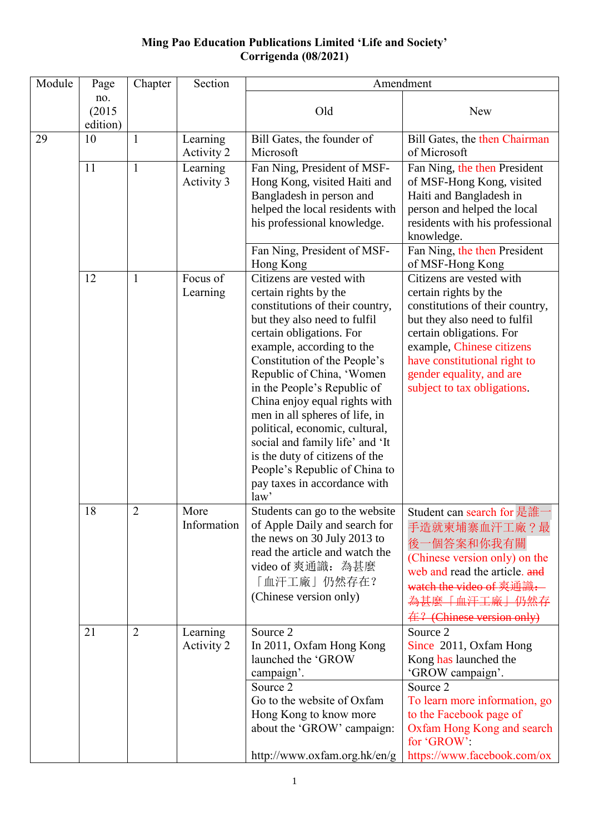### **Ming Pao Education Publications Limited 'Life and Society' Corrigenda (08/2021)**

| no.<br>(2015)<br>Old<br>edition)<br>29<br>10<br>$\mathbf{1}$<br>Learning<br>Bill Gates, the founder of<br>Microsoft<br>of Microsoft<br>Activity 2<br>11<br>Fan Ning, President of MSF-<br>Learning<br>1<br>Activity 3<br>Hong Kong, visited Haiti and<br>Bangladesh in person and<br>helped the local residents with<br>his professional knowledge.<br>knowledge.<br>Fan Ning, President of MSF-<br>Hong Kong<br>Citizens are vested with<br>12<br>Focus of<br>$\mathbf{1}$<br>Learning<br>certain rights by the | New<br>Bill Gates, the then Chairman                                                                                                                                                                                                                                     |
|------------------------------------------------------------------------------------------------------------------------------------------------------------------------------------------------------------------------------------------------------------------------------------------------------------------------------------------------------------------------------------------------------------------------------------------------------------------------------------------------------------------|--------------------------------------------------------------------------------------------------------------------------------------------------------------------------------------------------------------------------------------------------------------------------|
|                                                                                                                                                                                                                                                                                                                                                                                                                                                                                                                  |                                                                                                                                                                                                                                                                          |
|                                                                                                                                                                                                                                                                                                                                                                                                                                                                                                                  |                                                                                                                                                                                                                                                                          |
|                                                                                                                                                                                                                                                                                                                                                                                                                                                                                                                  | Fan Ning, the then President<br>of MSF-Hong Kong, visited<br>Haiti and Bangladesh in<br>person and helped the local<br>residents with his professional<br>Fan Ning, the then President                                                                                   |
|                                                                                                                                                                                                                                                                                                                                                                                                                                                                                                                  | of MSF-Hong Kong                                                                                                                                                                                                                                                         |
| constitutions of their country,<br>but they also need to fulfil<br>certain obligations. For<br>example, according to the<br>Constitution of the People's<br>Republic of China, 'Women<br>in the People's Republic of<br>China enjoy equal rights with<br>men in all spheres of life, in<br>political, economic, cultural,<br>social and family life' and 'It<br>is the duty of citizens of the<br>People's Republic of China to<br>pay taxes in accordance with<br>law'                                          | Citizens are vested with<br>certain rights by the<br>constitutions of their country,<br>but they also need to fulfil<br>certain obligations. For<br>example, Chinese citizens<br>have constitutional right to<br>gender equality, and are<br>subject to tax obligations. |
| 18<br>2<br>More<br>Students can go to the website<br>Information<br>of Apple Daily and search for<br>the news on 30 July 2013 to<br>read the article and watch the<br>video of 爽通識: 為甚麼<br>「血汗工廠」仍然存在?<br>(Chinese version only)                                                                                                                                                                                                                                                                                 | Student can search for 是誰<br>手造就柬埔寨血汗工廠?最<br>後一個答案和你我有關<br>(Chinese version only) on the<br>web and read the article. and<br>watch the video of 爽通識.<br>為其麼「血汗工廠」仍然存<br><del>在? (Chinese version only)</del>                                                             |
| 21<br>$\overline{2}$<br>Source 2<br>Learning<br>Source 2<br>Activity 2<br>In 2011, Oxfam Hong Kong<br>launched the 'GROW<br>campaign'.<br>Source 2<br>Source 2<br>Go to the website of Oxfam<br>Hong Kong to know more<br>about the 'GROW' campaign:<br>for 'GROW':<br>http://www.oxfam.org.hk/en/g                                                                                                                                                                                                              | Since 2011, Oxfam Hong<br>Kong has launched the<br>'GROW campaign'.<br>To learn more information, go<br>to the Facebook page of<br>Oxfam Hong Kong and search<br>https://www.facebook.com/ox                                                                             |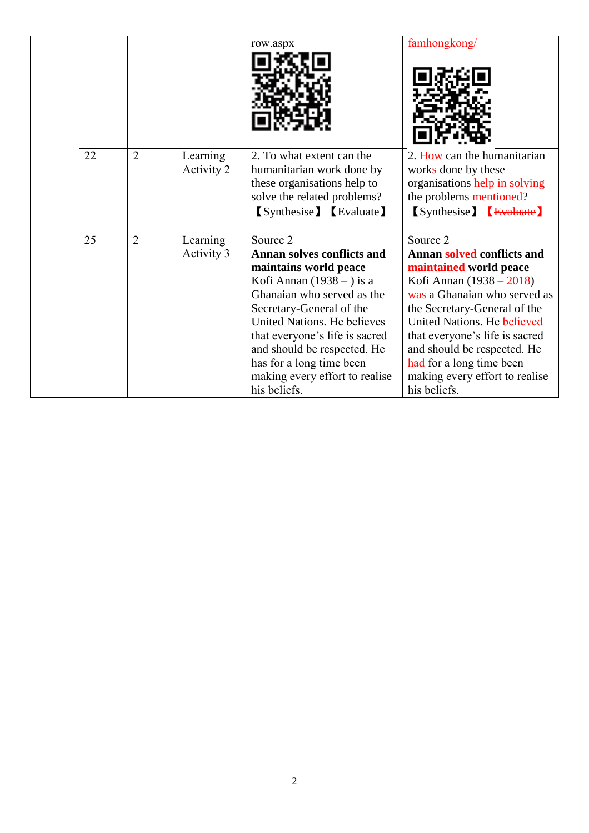|    |                |                        | row.aspx                                               | famhongkong/                                        |
|----|----------------|------------------------|--------------------------------------------------------|-----------------------------------------------------|
|    |                |                        |                                                        |                                                     |
|    |                |                        |                                                        |                                                     |
|    |                |                        |                                                        |                                                     |
|    |                |                        |                                                        |                                                     |
|    |                |                        |                                                        |                                                     |
| 22 | $\overline{2}$ | Learning<br>Activity 2 | 2. To what extent can the<br>humanitarian work done by | 2. How can the humanitarian<br>works done by these  |
|    |                |                        | these organisations help to                            | organisations help in solving                       |
|    |                |                        | solve the related problems?                            | the problems mentioned?                             |
|    |                |                        | <b>(Synthesise)</b> [Evaluate]                         | $\sqrt{\text{Synthesize}}$ $\sqrt{\text{Evaluate}}$ |
|    |                |                        |                                                        |                                                     |
| 25 | $\overline{2}$ | Learning               | Source 2                                               | Source 2                                            |
|    |                | Activity 3             | <b>Annan solves conflicts and</b>                      | Annan solved conflicts and                          |
|    |                |                        | maintains world peace                                  | maintained world peace                              |
|    |                |                        | Kofi Annan $(1938 - )$ is a                            | Kofi Annan $(1938 - 2018)$                          |
|    |                |                        | Ghanaian who served as the                             | was a Ghanaian who served as                        |
|    |                |                        | Secretary-General of the                               | the Secretary-General of the                        |
|    |                |                        | United Nations. He believes                            | United Nations. He believed                         |
|    |                |                        | that everyone's life is sacred                         | that everyone's life is sacred                      |
|    |                |                        | and should be respected. He                            | and should be respected. He                         |
|    |                |                        | has for a long time been                               | had for a long time been                            |
|    |                |                        | making every effort to realise                         | making every effort to realise                      |
|    |                |                        | his beliefs.                                           | his beliefs.                                        |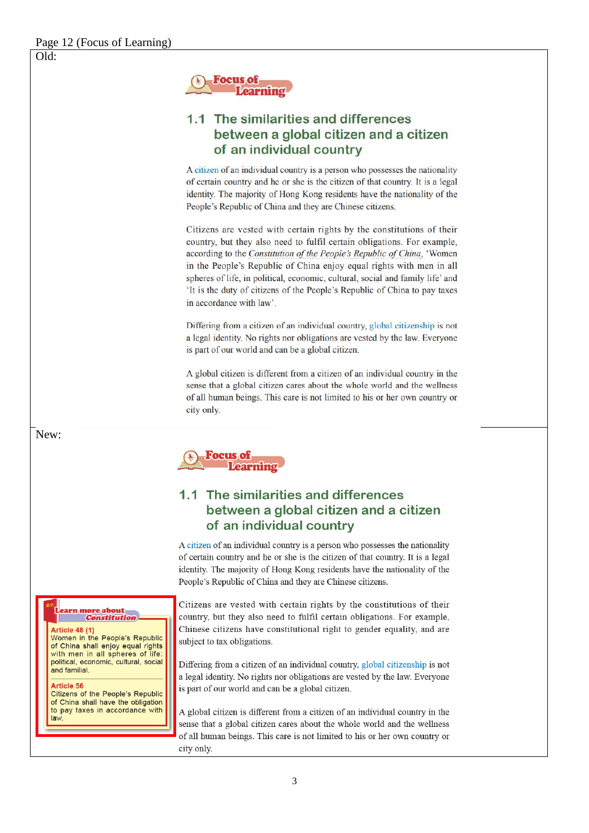$Old:$ 



# 1.1 The similarities and differences between a global citizen and a citizen of an individual country

A citizen of an individual country is a person who possesses the nationality of certain country and he or she is the citizen of that country. It is a legal identity. The majority of Hong Kong residents have the nationality of the People's Republic of China and they are Chinese citizens.

Citizens are vested with certain rights by the constitutions of their country, but they also need to fulfil certain obligations. For example, according to the Constitution of the People's Republic of China, 'Women in the People's Republic of China enjoy equal rights with men in all spheres of life, in political, economic, cultural, social and family life' and 'It is the duty of citizens of the People's Republic of China to pay taxes in accordance with law'.

Differing from a citizen of an individual country, global citizenship is not a legal identity. No rights nor obligations are vested by the law. Everyone is part of our world and can be a global citizen.

A global citizen is different from a citizen of an individual country in the sense that a global citizen cares about the whole world and the wellness of all human beings. This care is not limited to his or her own country or city only.

**Focus of<br>Learning** 

## 1.1 The similarities and differences between a global citizen and a citizen of an individual country

A citizen of an individual country is a person who possesses the nationality of certain country and he or she is the citizen of that country. It is a legal identity. The majority of Hong Kong residents have the nationality of the People's Republic of China and they are Chinese citizens.

arn more about **Constitution** 

#### Article 48 (1)

Women in the People's Republic of China shall enjoy equal rights with men in all spheres of life: political, economic, cultural, social and familial.

#### Article 56

Citizens of the People's Republic of China shall have the obligation to pay taxes in accordance with law

Citizens are vested with certain rights by the constitutions of their country, but they also need to fulfil certain obligations. For example, Chinese citizens have constitutional right to gender equality, and are subject to tax obligations.

Differing from a citizen of an individual country, global citizenship is not a legal identity. No rights nor obligations are vested by the law. Everyone is part of our world and can be a global citizen.

A global citizen is different from a citizen of an individual country in the sense that a global citizen cares about the whole world and the wellness of all human beings. This care is not limited to his or her own country or city only.

New: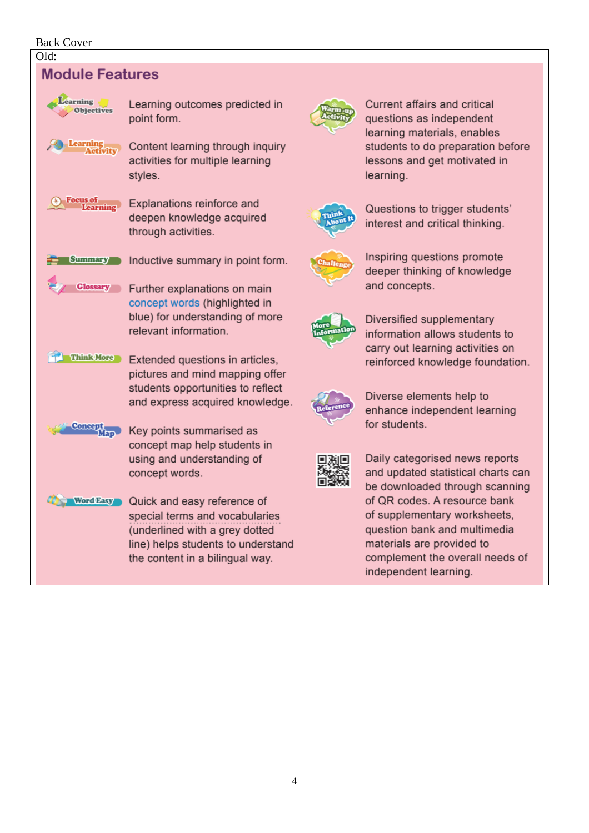### Back Cover



4